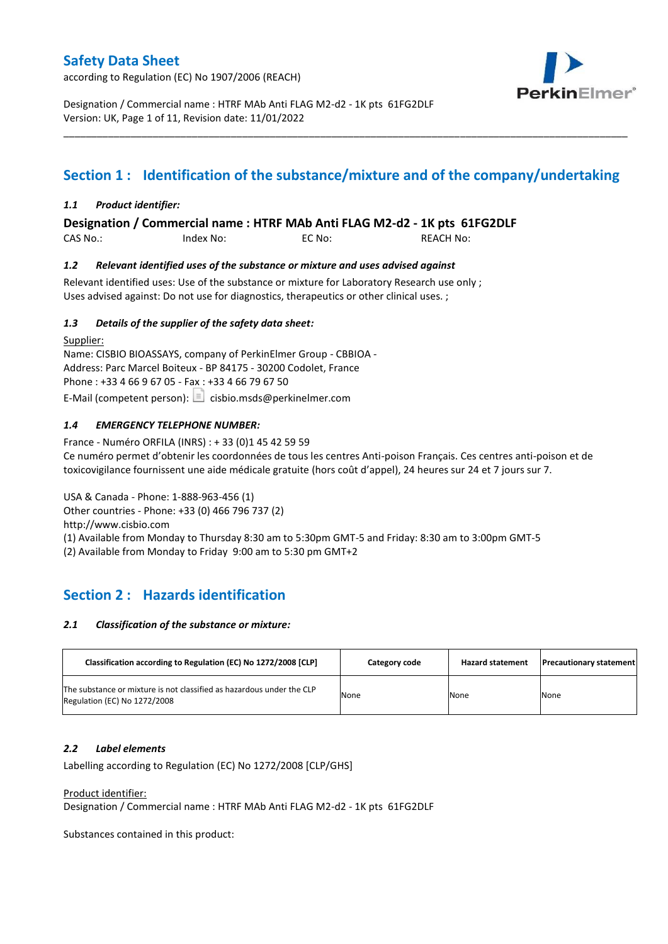according to Regulation (EC) No 1907/2006 (REACH)



Designation / Commercial name : HTRF MAb Anti FLAG M2-d2 - 1K pts 61FG2DLF Version: UK, Page 1 of 11, Revision date: 11/01/2022

# **Section 1 : Identification of the substance/mixture and of the company/undertaking**

\_\_\_\_\_\_\_\_\_\_\_\_\_\_\_\_\_\_\_\_\_\_\_\_\_\_\_\_\_\_\_\_\_\_\_\_\_\_\_\_\_\_\_\_\_\_\_\_\_\_\_\_\_\_\_\_\_\_\_\_\_\_\_\_\_\_\_\_\_\_\_\_\_\_\_\_\_\_\_\_\_\_\_\_\_\_\_\_\_\_\_\_\_\_\_\_\_\_\_\_\_

### *1.1 Product identifier:*

**Designation / Commercial name : HTRF MAb Anti FLAG M2-d2 - 1K pts 61FG2DLF** 

CAS No.: Index No: EC No: REACH No:

### *1.2 Relevant identified uses of the substance or mixture and uses advised against*

Relevant identified uses: Use of the substance or mixture for Laboratory Research use only ; Uses advised against: Do not use for diagnostics, therapeutics or other clinical uses. ;

### *1.3 Details of the supplier of the safety data sheet:*

Supplier: Name: CISBIO BIOASSAYS, company of PerkinElmer Group - CBBIOA - Address: Parc Marcel Boiteux - BP 84175 - 30200 Codolet, France Phone : +33 4 66 9 67 05 - Fax : +33 4 66 79 67 50 E-Mail (competent person):  $\boxed{\equiv}$  cisbio.msds@perkinelmer.com

### *1.4 EMERGENCY TELEPHONE NUMBER:*

France - Numéro ORFILA (INRS) : + 33 (0)1 45 42 59 59 Ce numéro permet d'obtenir les coordonnées de tous les centres Anti-poison Français. Ces centres anti-poison et de toxicovigilance fournissent une aide médicale gratuite (hors coût d'appel), 24 heures sur 24 et 7 jours sur 7.

USA & Canada - Phone: 1-888-963-456 (1) Other countries - Phone: +33 (0) 466 796 737 (2)

http://www.cisbio.com

(1) Available from Monday to Thursday 8:30 am to 5:30pm GMT-5 and Friday: 8:30 am to 3:00pm GMT-5

(2) Available from Monday to Friday 9:00 am to 5:30 pm GMT+2

## **Section 2 : Hazards identification**

### *2.1 Classification of the substance or mixture:*

| Classification according to Regulation (EC) No 1272/2008 [CLP]                                        | Category code | <b>Hazard statement</b> | <b>Precautionary statement</b> |
|-------------------------------------------------------------------------------------------------------|---------------|-------------------------|--------------------------------|
| The substance or mixture is not classified as hazardous under the CLP<br>Regulation (EC) No 1272/2008 | None          | None                    | None                           |

### *2.2 Label elements*

Labelling according to Regulation (EC) No 1272/2008 [CLP/GHS]

### Product identifier:

Designation / Commercial name : HTRF MAb Anti FLAG M2-d2 - 1K pts 61FG2DLF

Substances contained in this product: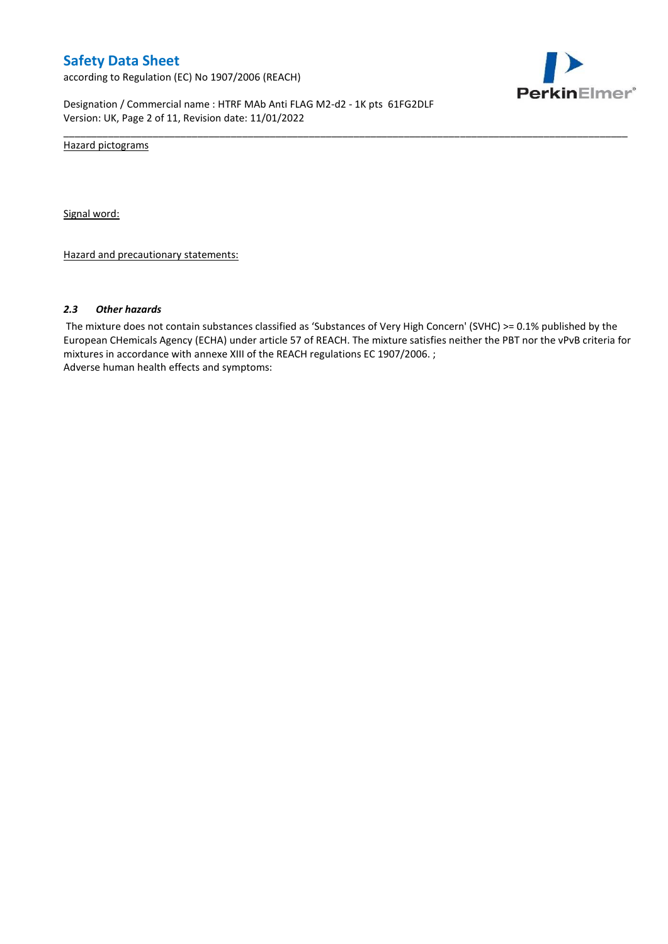according to Regulation (EC) No 1907/2006 (REACH)



Designation / Commercial name : HTRF MAb Anti FLAG M2-d2 - 1K pts 61FG2DLF Version: UK, Page 2 of 11, Revision date: 11/01/2022

Hazard pictograms

Signal word:

Hazard and precautionary statements:

#### *2.3 Other hazards*

The mixture does not contain substances classified as 'Substances of Very High Concern' (SVHC) >= 0.1% published by the European CHemicals Agency (ECHA) under article 57 of REACH. The mixture satisfies neither the PBT nor the vPvB criteria for mixtures in accordance with annexe XIII of the REACH regulations EC 1907/2006. ; Adverse human health effects and symptoms:

\_\_\_\_\_\_\_\_\_\_\_\_\_\_\_\_\_\_\_\_\_\_\_\_\_\_\_\_\_\_\_\_\_\_\_\_\_\_\_\_\_\_\_\_\_\_\_\_\_\_\_\_\_\_\_\_\_\_\_\_\_\_\_\_\_\_\_\_\_\_\_\_\_\_\_\_\_\_\_\_\_\_\_\_\_\_\_\_\_\_\_\_\_\_\_\_\_\_\_\_\_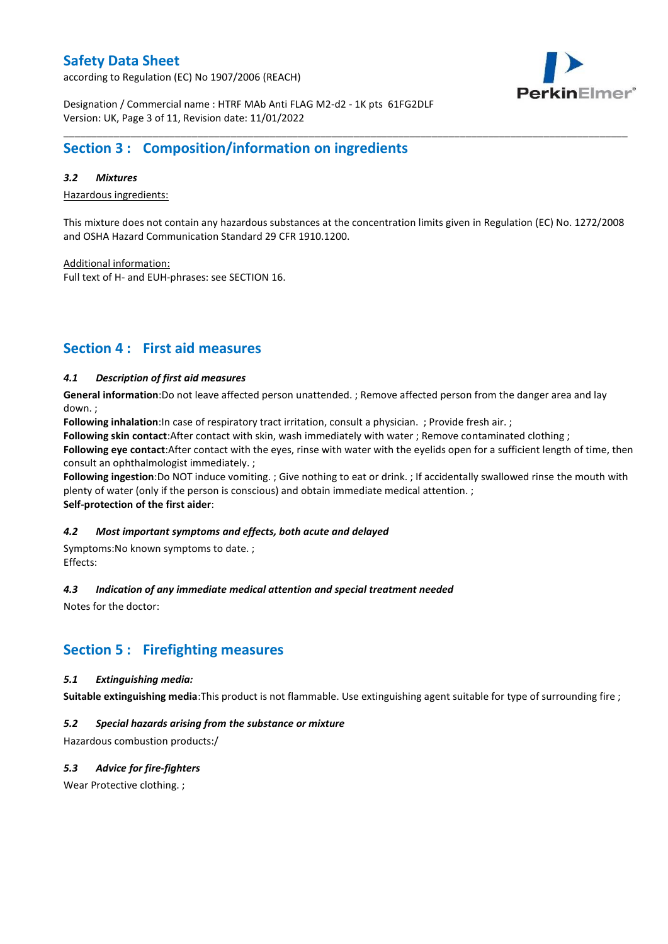according to Regulation (EC) No 1907/2006 (REACH)



Designation / Commercial name : HTRF MAb Anti FLAG M2-d2 - 1K pts 61FG2DLF Version: UK, Page 3 of 11, Revision date: 11/01/2022

## **Section 3 : Composition/information on ingredients**

### *3.2 Mixtures*

Hazardous ingredients:

This mixture does not contain any hazardous substances at the concentration limits given in Regulation (EC) No. 1272/2008 and OSHA Hazard Communication Standard 29 CFR 1910.1200.

\_\_\_\_\_\_\_\_\_\_\_\_\_\_\_\_\_\_\_\_\_\_\_\_\_\_\_\_\_\_\_\_\_\_\_\_\_\_\_\_\_\_\_\_\_\_\_\_\_\_\_\_\_\_\_\_\_\_\_\_\_\_\_\_\_\_\_\_\_\_\_\_\_\_\_\_\_\_\_\_\_\_\_\_\_\_\_\_\_\_\_\_\_\_\_\_\_\_\_\_\_

Additional information:

Full text of H- and EUH-phrases: see SECTION 16.

## **Section 4 : First aid measures**

### *4.1 Description of first aid measures*

**General information**:Do not leave affected person unattended. ; Remove affected person from the danger area and lay down. ;

**Following inhalation**:In case of respiratory tract irritation, consult a physician. ; Provide fresh air. ;

**Following skin contact**:After contact with skin, wash immediately with water ; Remove contaminated clothing ;

**Following eye contact**:After contact with the eyes, rinse with water with the eyelids open for a sufficient length of time, then consult an ophthalmologist immediately. ;

**Following ingestion**:Do NOT induce vomiting. ; Give nothing to eat or drink. ; If accidentally swallowed rinse the mouth with plenty of water (only if the person is conscious) and obtain immediate medical attention. ; **Self-protection of the first aider**:

### *4.2 Most important symptoms and effects, both acute and delayed*

Symptoms:No known symptoms to date. ; Effects:

### *4.3 Indication of any immediate medical attention and special treatment needed*

Notes for the doctor:

## **Section 5 : Firefighting measures**

### *5.1 Extinguishing media:*

**Suitable extinguishing media**:This product is not flammable. Use extinguishing agent suitable for type of surrounding fire ;

### *5.2 Special hazards arising from the substance or mixture*

Hazardous combustion products:/

### *5.3 Advice for fire-fighters*

Wear Protective clothing.;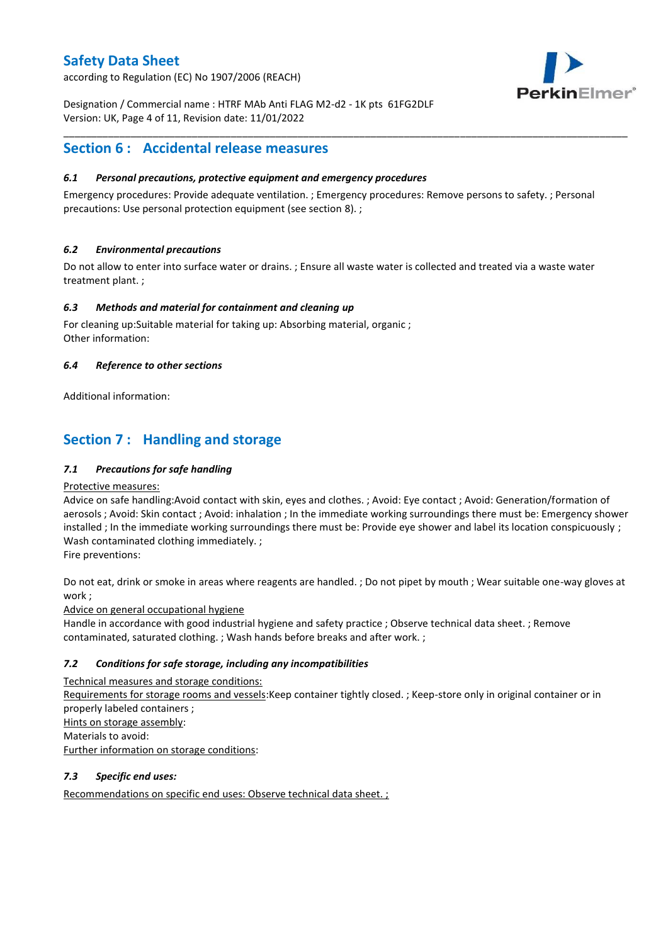according to Regulation (EC) No 1907/2006 (REACH)



Designation / Commercial name : HTRF MAb Anti FLAG M2-d2 - 1K pts 61FG2DLF Version: UK, Page 4 of 11, Revision date: 11/01/2022

## **Section 6 : Accidental release measures**

### *6.1 Personal precautions, protective equipment and emergency procedures*

Emergency procedures: Provide adequate ventilation. ; Emergency procedures: Remove persons to safety. ; Personal precautions: Use personal protection equipment (see section 8). ;

\_\_\_\_\_\_\_\_\_\_\_\_\_\_\_\_\_\_\_\_\_\_\_\_\_\_\_\_\_\_\_\_\_\_\_\_\_\_\_\_\_\_\_\_\_\_\_\_\_\_\_\_\_\_\_\_\_\_\_\_\_\_\_\_\_\_\_\_\_\_\_\_\_\_\_\_\_\_\_\_\_\_\_\_\_\_\_\_\_\_\_\_\_\_\_\_\_\_\_\_\_

### *6.2 Environmental precautions*

Do not allow to enter into surface water or drains. ; Ensure all waste water is collected and treated via a waste water treatment plant. ;

### *6.3 Methods and material for containment and cleaning up*

For cleaning up:Suitable material for taking up: Absorbing material, organic ; Other information:

### *6.4 Reference to other sections*

Additional information:

## **Section 7 : Handling and storage**

### *7.1 Precautions for safe handling*

### Protective measures:

Advice on safe handling:Avoid contact with skin, eyes and clothes. ; Avoid: Eye contact ; Avoid: Generation/formation of aerosols ; Avoid: Skin contact ; Avoid: inhalation ; In the immediate working surroundings there must be: Emergency shower installed ; In the immediate working surroundings there must be: Provide eye shower and label its location conspicuously ; Wash contaminated clothing immediately. ;

Fire preventions:

Do not eat, drink or smoke in areas where reagents are handled. ; Do not pipet by mouth ; Wear suitable one-way gloves at work ;

Advice on general occupational hygiene

Handle in accordance with good industrial hygiene and safety practice ; Observe technical data sheet. ; Remove contaminated, saturated clothing. ; Wash hands before breaks and after work. ;

### *7.2 Conditions for safe storage, including any incompatibilities*

Technical measures and storage conditions: Requirements for storage rooms and vessels:Keep container tightly closed. ; Keep-store only in original container or in properly labeled containers ; Hints on storage assembly: Materials to avoid: Further information on storage conditions:

### *7.3 Specific end uses:*

Recommendations on specific end uses: Observe technical data sheet. ;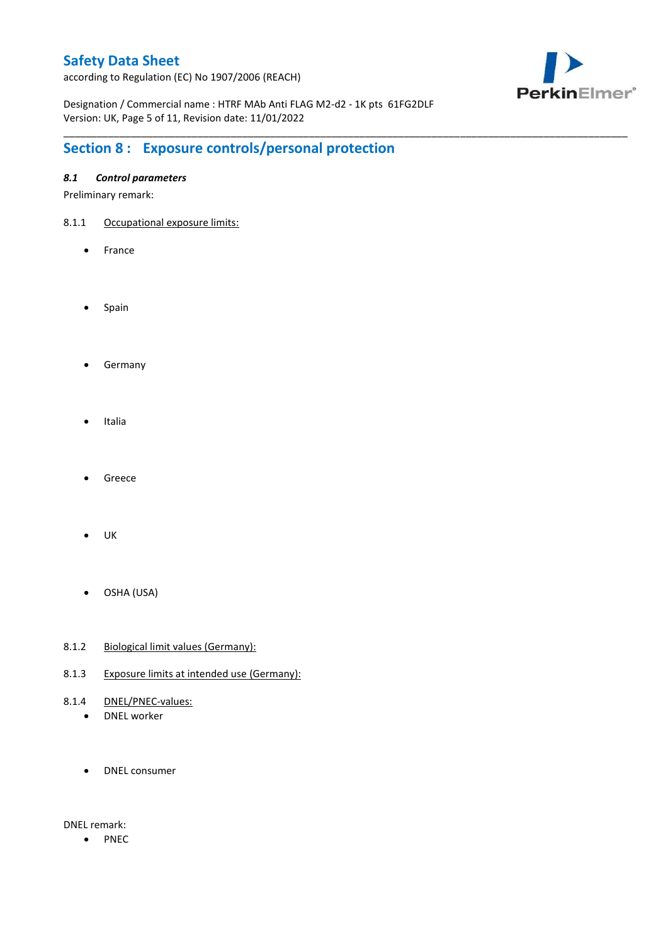according to Regulation (EC) No 1907/2006 (REACH)



Designation / Commercial name : HTRF MAb Anti FLAG M2-d2 - 1K pts 61FG2DLF Version: UK, Page 5 of 11, Revision date: 11/01/2022

\_\_\_\_\_\_\_\_\_\_\_\_\_\_\_\_\_\_\_\_\_\_\_\_\_\_\_\_\_\_\_\_\_\_\_\_\_\_\_\_\_\_\_\_\_\_\_\_\_\_\_\_\_\_\_\_\_\_\_\_\_\_\_\_\_\_\_\_\_\_\_\_\_\_\_\_\_\_\_\_\_\_\_\_\_\_\_\_\_\_\_\_\_\_\_\_\_\_\_\_\_

# **Section 8 : Exposure controls/personal protection**

### *8.1 Control parameters*

Preliminary remark:

- 8.1.1 Occupational exposure limits:
	- France
	- Spain
	- **•** Germany
	- Italia
	- Greece
	- $\bullet$  UK
	- OSHA (USA)
- 8.1.2 Biological limit values (Germany):
- 8.1.3 Exposure limits at intended use (Germany):
- 8.1.4 DNEL/PNEC-values:
	- DNEL worker
	- DNEL consumer

DNEL remark:

• PNEC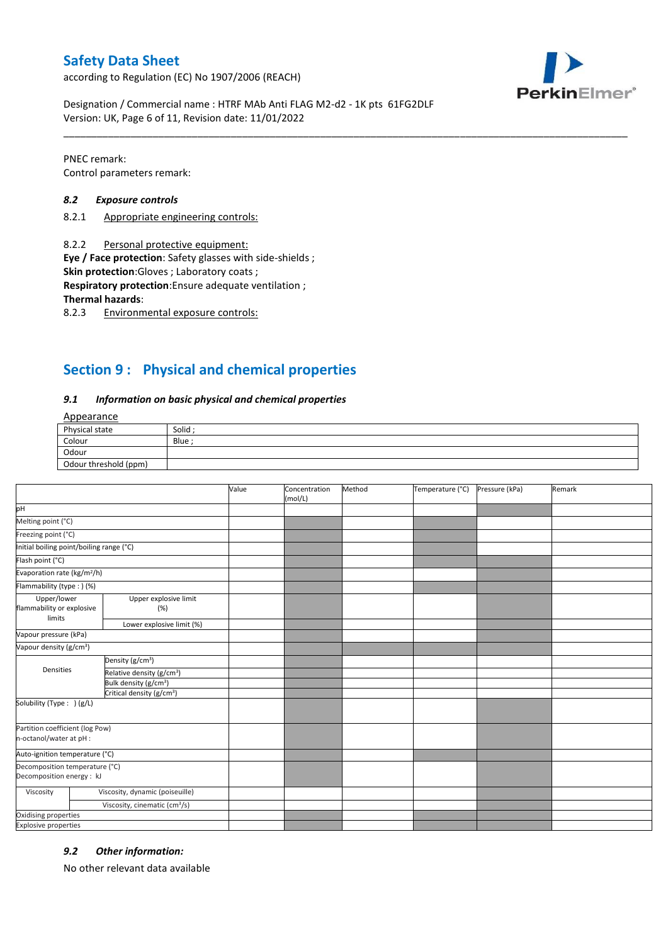according to Regulation (EC) No 1907/2006 (REACH)



Designation / Commercial name : HTRF MAb Anti FLAG M2-d2 - 1K pts 61FG2DLF Version: UK, Page 6 of 11, Revision date: 11/01/2022

PNEC remark: Control parameters remark:

### *8.2 Exposure controls*

- 8.2.1 Appropriate engineering controls:
- 8.2.2 Personal protective equipment:

**Eye / Face protection**: Safety glasses with side-shields ;

**Skin protection**:Gloves ; Laboratory coats ;

**Respiratory protection**:Ensure adequate ventilation ;

**Thermal hazards**:

8.2.3 Environmental exposure controls:

## **Section 9 : Physical and chemical properties**

### *9.1 Information on basic physical and chemical properties*

### Appearance

| Physical state        | Solid  |
|-----------------------|--------|
| Colour                | Blue ; |
| Odour                 |        |
| Odour threshold (ppm) |        |

\_\_\_\_\_\_\_\_\_\_\_\_\_\_\_\_\_\_\_\_\_\_\_\_\_\_\_\_\_\_\_\_\_\_\_\_\_\_\_\_\_\_\_\_\_\_\_\_\_\_\_\_\_\_\_\_\_\_\_\_\_\_\_\_\_\_\_\_\_\_\_\_\_\_\_\_\_\_\_\_\_\_\_\_\_\_\_\_\_\_\_\_\_\_\_\_\_\_\_\_\_

|                                                             |                                           | Value | Concentration<br>(mol/L) | Method | Temperature (°C) | Pressure (kPa) | Remark |
|-------------------------------------------------------------|-------------------------------------------|-------|--------------------------|--------|------------------|----------------|--------|
| pH                                                          |                                           |       |                          |        |                  |                |        |
| Melting point (°C)                                          |                                           |       |                          |        |                  |                |        |
| Freezing point (°C)                                         |                                           |       |                          |        |                  |                |        |
| Initial boiling point/boiling range (°C)                    |                                           |       |                          |        |                  |                |        |
| Flash point (°C)                                            |                                           |       |                          |        |                  |                |        |
| Evaporation rate (kg/m <sup>2</sup> /h)                     |                                           |       |                          |        |                  |                |        |
| Flammability (type: ) (%)                                   |                                           |       |                          |        |                  |                |        |
| Upper/lower<br>flammability or explosive<br>limits          | Upper explosive limit<br>(%)              |       |                          |        |                  |                |        |
|                                                             | Lower explosive limit (%)                 |       |                          |        |                  |                |        |
| Vapour pressure (kPa)                                       |                                           |       |                          |        |                  |                |        |
| Vapour density (g/cm <sup>3</sup> )                         |                                           |       |                          |        |                  |                |        |
| Densities                                                   | Density (g/cm <sup>3</sup> )              |       |                          |        |                  |                |        |
|                                                             | Relative density (g/cm <sup>3</sup> )     |       |                          |        |                  |                |        |
|                                                             | Bulk density (g/cm <sup>3</sup> )         |       |                          |        |                  |                |        |
|                                                             | Critical density (g/cm <sup>3</sup> )     |       |                          |        |                  |                |        |
| Solubility (Type: ) (g/L)                                   |                                           |       |                          |        |                  |                |        |
| Partition coefficient (log Pow)<br>n-octanol/water at pH :  |                                           |       |                          |        |                  |                |        |
| Auto-ignition temperature (°C)                              |                                           |       |                          |        |                  |                |        |
| Decomposition temperature (°C)<br>Decomposition energy : kJ |                                           |       |                          |        |                  |                |        |
| Viscosity                                                   | Viscosity, dynamic (poiseuille)           |       |                          |        |                  |                |        |
|                                                             | Viscosity, cinematic (cm <sup>3</sup> /s) |       |                          |        |                  |                |        |
| Oxidising properties                                        |                                           |       |                          |        |                  |                |        |
| <b>Explosive properties</b>                                 |                                           |       |                          |        |                  |                |        |

### *9.2 Other information:*

No other relevant data available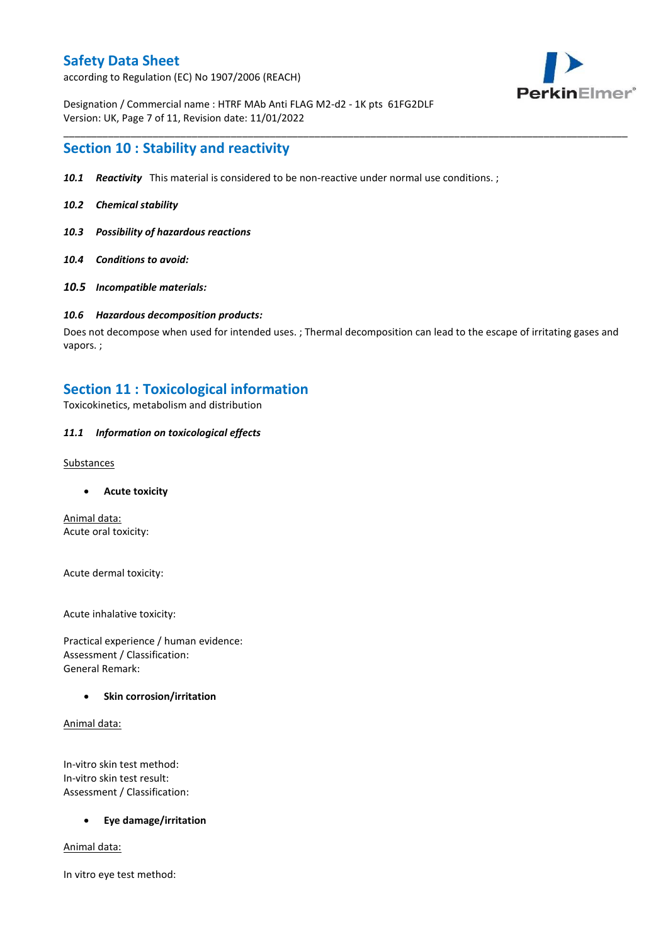according to Regulation (EC) No 1907/2006 (REACH)



Designation / Commercial name : HTRF MAb Anti FLAG M2-d2 - 1K pts 61FG2DLF Version: UK, Page 7 of 11, Revision date: 11/01/2022

### **Section 10 : Stability and reactivity**

- *10.1 Reactivity* This material is considered to be non-reactive under normal use conditions. ;
- *10.2 Chemical stability*
- *10.3 Possibility of hazardous reactions*
- *10.4 Conditions to avoid:*
- *10.5 Incompatible materials:*

#### *10.6 Hazardous decomposition products:*

Does not decompose when used for intended uses. ; Thermal decomposition can lead to the escape of irritating gases and vapors. ;

\_\_\_\_\_\_\_\_\_\_\_\_\_\_\_\_\_\_\_\_\_\_\_\_\_\_\_\_\_\_\_\_\_\_\_\_\_\_\_\_\_\_\_\_\_\_\_\_\_\_\_\_\_\_\_\_\_\_\_\_\_\_\_\_\_\_\_\_\_\_\_\_\_\_\_\_\_\_\_\_\_\_\_\_\_\_\_\_\_\_\_\_\_\_\_\_\_\_\_\_\_

### **Section 11 : Toxicological information**

Toxicokinetics, metabolism and distribution

### *11.1 Information on toxicological effects*

#### **Substances**

**Acute toxicity**

Animal data: Acute oral toxicity:

Acute dermal toxicity:

Acute inhalative toxicity:

Practical experience / human evidence: Assessment / Classification: General Remark:

### **Skin corrosion/irritation**

Animal data:

In-vitro skin test method: In-vitro skin test result: Assessment / Classification:

### **Eye damage/irritation**

Animal data:

In vitro eye test method: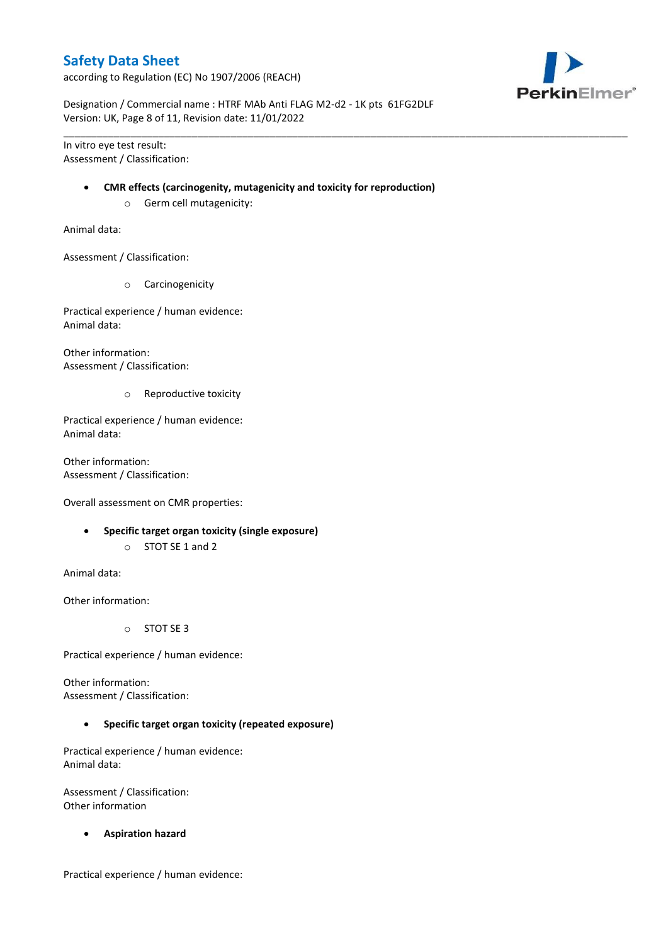according to Regulation (EC) No 1907/2006 (REACH)



Designation / Commercial name : HTRF MAb Anti FLAG M2-d2 - 1K pts 61FG2DLF Version: UK, Page 8 of 11, Revision date: 11/01/2022

In vitro eye test result: Assessment / Classification:

#### **CMR effects (carcinogenity, mutagenicity and toxicity for reproduction)**

\_\_\_\_\_\_\_\_\_\_\_\_\_\_\_\_\_\_\_\_\_\_\_\_\_\_\_\_\_\_\_\_\_\_\_\_\_\_\_\_\_\_\_\_\_\_\_\_\_\_\_\_\_\_\_\_\_\_\_\_\_\_\_\_\_\_\_\_\_\_\_\_\_\_\_\_\_\_\_\_\_\_\_\_\_\_\_\_\_\_\_\_\_\_\_\_\_\_\_\_\_

o Germ cell mutagenicity:

Animal data:

Assessment / Classification:

o Carcinogenicity

Practical experience / human evidence: Animal data:

Other information: Assessment / Classification:

o Reproductive toxicity

Practical experience / human evidence: Animal data:

Other information: Assessment / Classification:

Overall assessment on CMR properties:

- **Specific target organ toxicity (single exposure)**
	- o STOT SE 1 and 2

Animal data:

Other information:

o STOT SE 3

Practical experience / human evidence:

Other information: Assessment / Classification:

**Specific target organ toxicity (repeated exposure)**

Practical experience / human evidence: Animal data:

Assessment / Classification: Other information

**Aspiration hazard**

Practical experience / human evidence: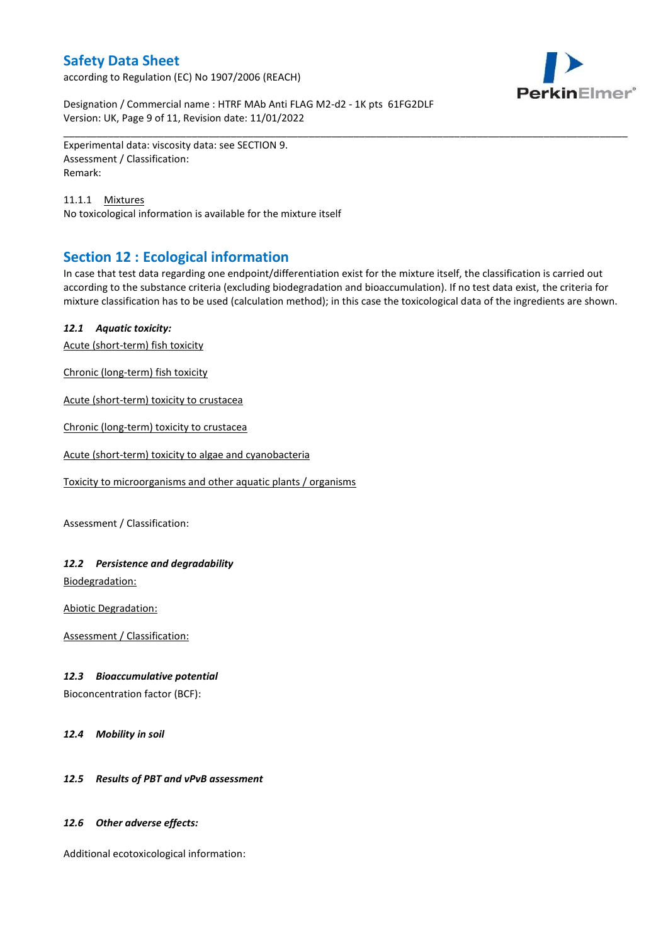according to Regulation (EC) No 1907/2006 (REACH)



Designation / Commercial name : HTRF MAb Anti FLAG M2-d2 - 1K pts 61FG2DLF Version: UK, Page 9 of 11, Revision date: 11/01/2022

Experimental data: viscosity data: see SECTION 9. Assessment / Classification: Remark:

11.1.1 Mixtures No toxicological information is available for the mixture itself

## **Section 12 : Ecological information**

In case that test data regarding one endpoint/differentiation exist for the mixture itself, the classification is carried out according to the substance criteria (excluding biodegradation and bioaccumulation). If no test data exist, the criteria for mixture classification has to be used (calculation method); in this case the toxicological data of the ingredients are shown.

\_\_\_\_\_\_\_\_\_\_\_\_\_\_\_\_\_\_\_\_\_\_\_\_\_\_\_\_\_\_\_\_\_\_\_\_\_\_\_\_\_\_\_\_\_\_\_\_\_\_\_\_\_\_\_\_\_\_\_\_\_\_\_\_\_\_\_\_\_\_\_\_\_\_\_\_\_\_\_\_\_\_\_\_\_\_\_\_\_\_\_\_\_\_\_\_\_\_\_\_\_

### *12.1 Aquatic toxicity:*

Acute (short-term) fish toxicity

Chronic (long-term) fish toxicity

Acute (short-term) toxicity to crustacea

Chronic (long-term) toxicity to crustacea

Acute (short-term) toxicity to algae and cyanobacteria

Toxicity to microorganisms and other aquatic plants / organisms

Assessment / Classification:

### *12.2 Persistence and degradability*

Biodegradation:

Abiotic Degradation:

Assessment / Classification:

### *12.3 Bioaccumulative potential*

Bioconcentration factor (BCF):

*12.4 Mobility in soil*

### *12.5 Results of PBT and vPvB assessment*

### *12.6 Other adverse effects:*

Additional ecotoxicological information: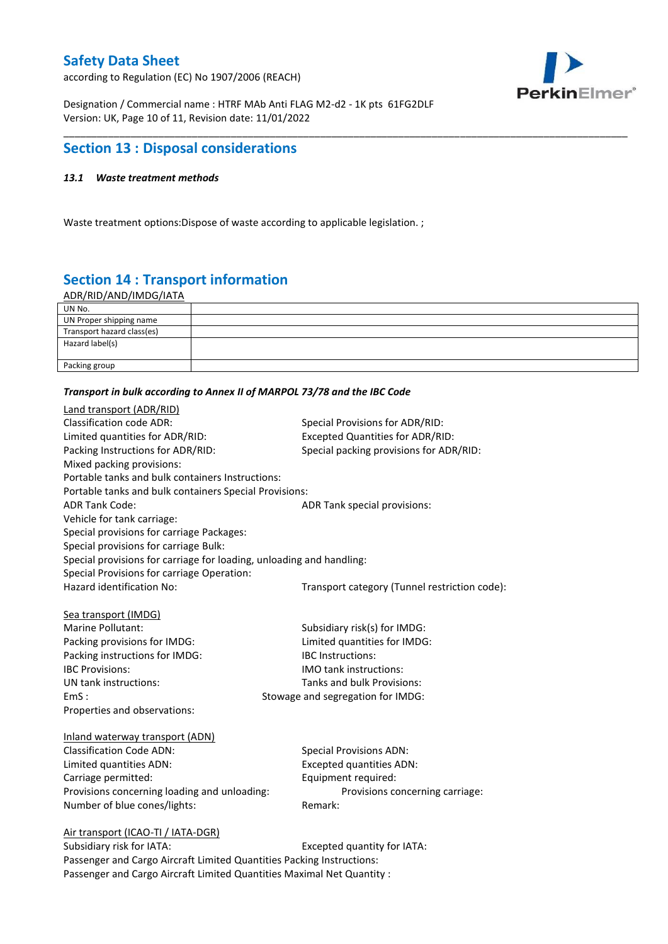according to Regulation (EC) No 1907/2006 (REACH)



Designation / Commercial name : HTRF MAb Anti FLAG M2-d2 - 1K pts 61FG2DLF Version: UK, Page 10 of 11, Revision date: 11/01/2022

## **Section 13 : Disposal considerations**

### *13.1 Waste treatment methods*

Waste treatment options:Dispose of waste according to applicable legislation. ;

# **Section 14 : Transport information**

ADR/RID/AND/IMDG/IATA

| UN No.                     |  |
|----------------------------|--|
| UN Proper shipping name    |  |
| Transport hazard class(es) |  |
| Hazard label(s)            |  |
|                            |  |
| Packing group              |  |

\_\_\_\_\_\_\_\_\_\_\_\_\_\_\_\_\_\_\_\_\_\_\_\_\_\_\_\_\_\_\_\_\_\_\_\_\_\_\_\_\_\_\_\_\_\_\_\_\_\_\_\_\_\_\_\_\_\_\_\_\_\_\_\_\_\_\_\_\_\_\_\_\_\_\_\_\_\_\_\_\_\_\_\_\_\_\_\_\_\_\_\_\_\_\_\_\_\_\_\_\_

#### *Transport in bulk according to Annex II of MARPOL 73/78 and the IBC Code*

| Land transport (ADR/RID)                                             |                                               |
|----------------------------------------------------------------------|-----------------------------------------------|
| <b>Classification code ADR:</b>                                      | Special Provisions for ADR/RID:               |
| Limited quantities for ADR/RID:                                      | <b>Excepted Quantities for ADR/RID:</b>       |
| Packing Instructions for ADR/RID:                                    | Special packing provisions for ADR/RID:       |
| Mixed packing provisions:                                            |                                               |
| Portable tanks and bulk containers Instructions:                     |                                               |
| Portable tanks and bulk containers Special Provisions:               |                                               |
| <b>ADR Tank Code:</b>                                                | ADR Tank special provisions:                  |
| Vehicle for tank carriage:                                           |                                               |
| Special provisions for carriage Packages:                            |                                               |
| Special provisions for carriage Bulk:                                |                                               |
| Special provisions for carriage for loading, unloading and handling: |                                               |
| Special Provisions for carriage Operation:                           |                                               |
| Hazard identification No:                                            | Transport category (Tunnel restriction code): |
|                                                                      |                                               |
| Sea transport (IMDG)                                                 |                                               |
| Marine Pollutant:                                                    | Subsidiary risk(s) for IMDG:                  |
| Packing provisions for IMDG:                                         | Limited quantities for IMDG:                  |
| Packing instructions for IMDG:                                       | IBC Instructions:                             |
| <b>IBC Provisions:</b>                                               | <b>IMO</b> tank instructions:                 |
| UN tank instructions:                                                | Tanks and bulk Provisions:                    |
| EmS:                                                                 | Stowage and segregation for IMDG:             |
| Properties and observations:                                         |                                               |
| Inland waterway transport (ADN)                                      |                                               |
| <b>Classification Code ADN:</b>                                      | <b>Special Provisions ADN:</b>                |
| Limited quantities ADN:                                              | <b>Excepted quantities ADN:</b>               |
| Carriage permitted:                                                  | Equipment required:                           |
| Provisions concerning loading and unloading:                         | Provisions concerning carriage:               |
| Number of blue cones/lights:                                         | Remark:                                       |
|                                                                      |                                               |
| Air transport (ICAO-TI / IATA-DGR)                                   |                                               |
| Suhsidiary risk for IATA·                                            | Excepted quantity for $IATA$ .                |

Subsidiary risk for IATA: Excepted quantity for IATA: Passenger and Cargo Aircraft Limited Quantities Packing Instructions: Passenger and Cargo Aircraft Limited Quantities Maximal Net Quantity :